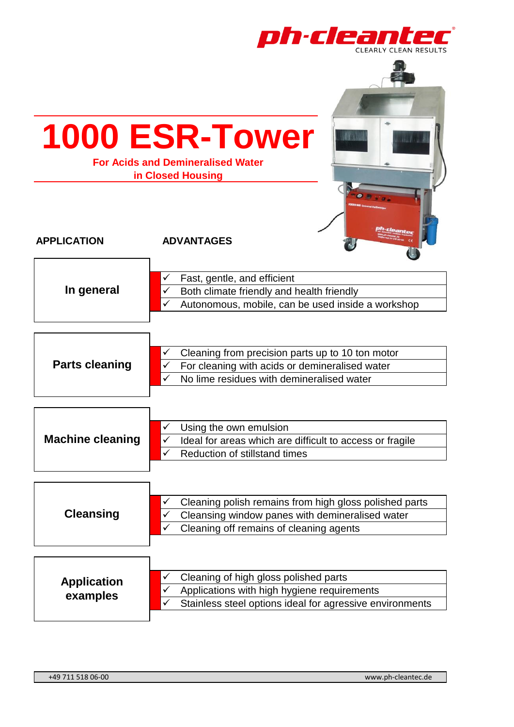